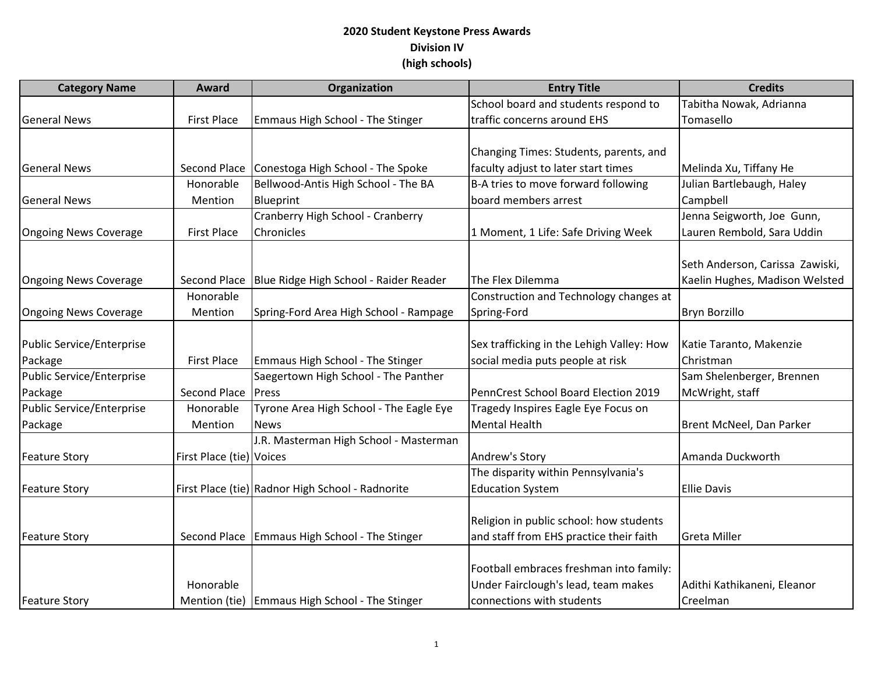| <b>Category Name</b>         | Award                    | Organization                                     | <b>Entry Title</b>                        | <b>Credits</b>                  |
|------------------------------|--------------------------|--------------------------------------------------|-------------------------------------------|---------------------------------|
|                              |                          |                                                  | School board and students respond to      | Tabitha Nowak, Adrianna         |
| <b>General News</b>          | <b>First Place</b>       | Emmaus High School - The Stinger                 | traffic concerns around EHS               | Tomasello                       |
|                              |                          |                                                  |                                           |                                 |
|                              |                          |                                                  | Changing Times: Students, parents, and    |                                 |
| <b>General News</b>          | <b>Second Place</b>      | Conestoga High School - The Spoke                | faculty adjust to later start times       | Melinda Xu, Tiffany He          |
|                              | Honorable                | Bellwood-Antis High School - The BA              | B-A tries to move forward following       | Julian Bartlebaugh, Haley       |
| <b>General News</b>          | Mention                  | Blueprint                                        | board members arrest                      | Campbell                        |
|                              |                          | Cranberry High School - Cranberry                |                                           | Jenna Seigworth, Joe Gunn,      |
| <b>Ongoing News Coverage</b> | <b>First Place</b>       | Chronicles                                       | 1 Moment, 1 Life: Safe Driving Week       | Lauren Rembold, Sara Uddin      |
|                              |                          |                                                  |                                           |                                 |
|                              |                          |                                                  |                                           | Seth Anderson, Carissa Zawiski, |
| <b>Ongoing News Coverage</b> | Second Place             | Blue Ridge High School - Raider Reader           | The Flex Dilemma                          | Kaelin Hughes, Madison Welsted  |
|                              | Honorable                |                                                  | Construction and Technology changes at    |                                 |
| <b>Ongoing News Coverage</b> | Mention                  | Spring-Ford Area High School - Rampage           | Spring-Ford                               | <b>Bryn Borzillo</b>            |
|                              |                          |                                                  |                                           |                                 |
| Public Service/Enterprise    |                          |                                                  | Sex trafficking in the Lehigh Valley: How | Katie Taranto, Makenzie         |
| Package                      | <b>First Place</b>       | Emmaus High School - The Stinger                 | social media puts people at risk          | Christman                       |
| Public Service/Enterprise    |                          | Saegertown High School - The Panther             |                                           | Sam Shelenberger, Brennen       |
| Package                      | Second Place             | Press                                            | PennCrest School Board Election 2019      | McWright, staff                 |
| Public Service/Enterprise    | Honorable                | Tyrone Area High School - The Eagle Eye          | Tragedy Inspires Eagle Eye Focus on       |                                 |
| Package                      | Mention                  | <b>News</b>                                      | Mental Health                             | Brent McNeel, Dan Parker        |
|                              |                          | J.R. Masterman High School - Masterman           |                                           |                                 |
| <b>Feature Story</b>         | First Place (tie) Voices |                                                  | Andrew's Story                            | Amanda Duckworth                |
|                              |                          |                                                  | The disparity within Pennsylvania's       |                                 |
| <b>Feature Story</b>         |                          | First Place (tie) Radnor High School - Radnorite | <b>Education System</b>                   | <b>Ellie Davis</b>              |
|                              |                          |                                                  |                                           |                                 |
|                              |                          |                                                  | Religion in public school: how students   |                                 |
| <b>Feature Story</b>         | Second Place             | <b>Emmaus High School - The Stinger</b>          | and staff from EHS practice their faith   | <b>Greta Miller</b>             |
|                              |                          |                                                  |                                           |                                 |
|                              |                          |                                                  | Football embraces freshman into family:   |                                 |
|                              | Honorable                |                                                  | Under Fairclough's lead, team makes       | Adithi Kathikaneni, Eleanor     |
| <b>Feature Story</b>         |                          | Mention (tie) Emmaus High School - The Stinger   | connections with students                 | Creelman                        |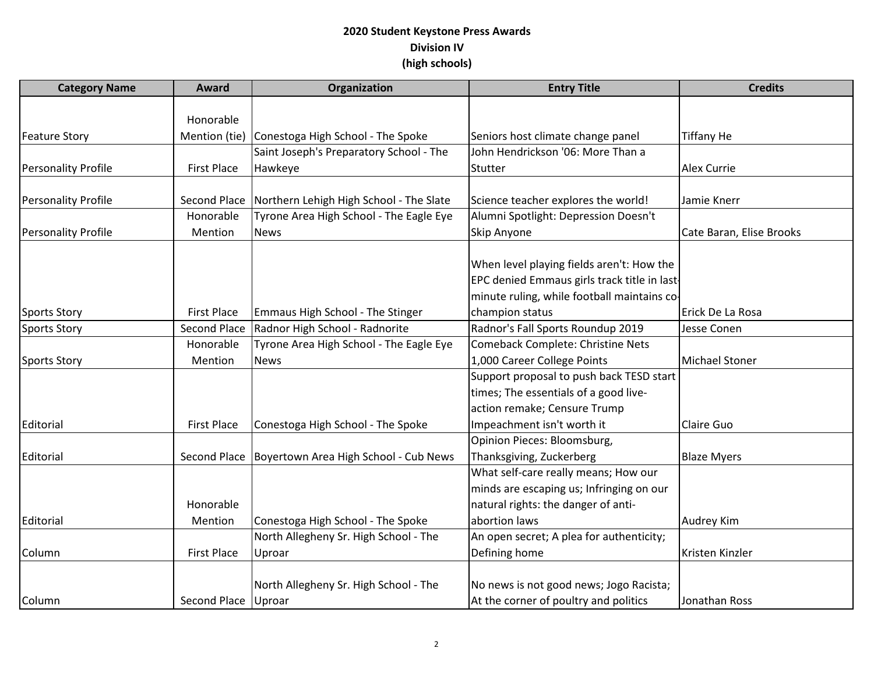| <b>Category Name</b>       | Award                 | Organization                                         | <b>Entry Title</b>                           | <b>Credits</b>           |
|----------------------------|-----------------------|------------------------------------------------------|----------------------------------------------|--------------------------|
|                            |                       |                                                      |                                              |                          |
|                            | Honorable             |                                                      |                                              |                          |
| <b>Feature Story</b>       | Mention (tie)         | Conestoga High School - The Spoke                    | Seniors host climate change panel            | <b>Tiffany He</b>        |
|                            |                       | Saint Joseph's Preparatory School - The              | John Hendrickson '06: More Than a            |                          |
| <b>Personality Profile</b> | <b>First Place</b>    | Hawkeye                                              | Stutter                                      | <b>Alex Currie</b>       |
|                            |                       |                                                      |                                              |                          |
| <b>Personality Profile</b> | Second Place          | Northern Lehigh High School - The Slate              | Science teacher explores the world!          | Jamie Knerr              |
|                            | Honorable             | Tyrone Area High School - The Eagle Eye              | Alumni Spotlight: Depression Doesn't         |                          |
| <b>Personality Profile</b> | Mention               | <b>News</b>                                          | Skip Anyone                                  | Cate Baran, Elise Brooks |
|                            |                       |                                                      |                                              |                          |
|                            |                       |                                                      | When level playing fields aren't: How the    |                          |
|                            |                       |                                                      | EPC denied Emmaus girls track title in last- |                          |
|                            |                       |                                                      | minute ruling, while football maintains co-  |                          |
| <b>Sports Story</b>        | <b>First Place</b>    | Emmaus High School - The Stinger                     | champion status                              | Erick De La Rosa         |
| <b>Sports Story</b>        | <b>Second Place</b>   | Radnor High School - Radnorite                       | Radnor's Fall Sports Roundup 2019            | Jesse Conen              |
|                            | Honorable             | Tyrone Area High School - The Eagle Eye              | Comeback Complete: Christine Nets            |                          |
| <b>Sports Story</b>        | Mention               | <b>News</b>                                          | 1,000 Career College Points                  | <b>Michael Stoner</b>    |
|                            |                       |                                                      | Support proposal to push back TESD start     |                          |
|                            |                       |                                                      | times; The essentials of a good live-        |                          |
|                            |                       |                                                      | action remake; Censure Trump                 |                          |
| Editorial                  | <b>First Place</b>    | Conestoga High School - The Spoke                    | Impeachment isn't worth it                   | Claire Guo               |
|                            |                       |                                                      | Opinion Pieces: Bloomsburg,                  |                          |
| Editorial                  |                       | Second Place   Boyertown Area High School - Cub News | Thanksgiving, Zuckerberg                     | <b>Blaze Myers</b>       |
|                            |                       |                                                      | What self-care really means; How our         |                          |
|                            |                       |                                                      | minds are escaping us; Infringing on our     |                          |
|                            | Honorable             |                                                      | natural rights: the danger of anti-          |                          |
| Editorial                  | Mention               | Conestoga High School - The Spoke                    | abortion laws                                | <b>Audrey Kim</b>        |
|                            |                       | North Allegheny Sr. High School - The                | An open secret; A plea for authenticity;     |                          |
| Column                     | <b>First Place</b>    | Uproar                                               | Defining home                                | Kristen Kinzler          |
|                            |                       |                                                      |                                              |                          |
|                            |                       | North Allegheny Sr. High School - The                | No news is not good news; Jogo Racista;      |                          |
| Column                     | Second Place   Uproar |                                                      | At the corner of poultry and politics        | Jonathan Ross            |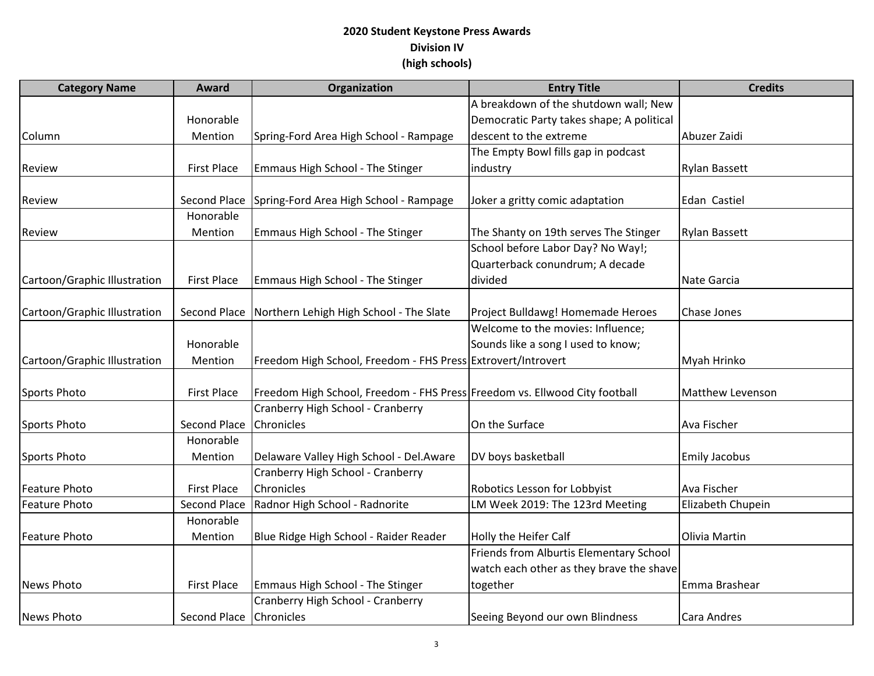| <b>Category Name</b>         | <b>Award</b>            | Organization                                                               | <b>Entry Title</b>                        | <b>Credits</b>          |
|------------------------------|-------------------------|----------------------------------------------------------------------------|-------------------------------------------|-------------------------|
|                              |                         |                                                                            | A breakdown of the shutdown wall; New     |                         |
|                              | Honorable               |                                                                            | Democratic Party takes shape; A political |                         |
| Column                       | Mention                 | Spring-Ford Area High School - Rampage                                     | descent to the extreme                    | Abuzer Zaidi            |
|                              |                         |                                                                            | The Empty Bowl fills gap in podcast       |                         |
| Review                       | <b>First Place</b>      | Emmaus High School - The Stinger                                           | industry                                  | <b>Rylan Bassett</b>    |
| Review                       | Second Place            | Spring-Ford Area High School - Rampage                                     | Joker a gritty comic adaptation           | Edan Castiel            |
|                              | Honorable               |                                                                            |                                           |                         |
| Review                       | Mention                 | Emmaus High School - The Stinger                                           | The Shanty on 19th serves The Stinger     | <b>Rylan Bassett</b>    |
|                              |                         |                                                                            | School before Labor Day? No Way!;         |                         |
|                              |                         |                                                                            | Quarterback conundrum; A decade           |                         |
| Cartoon/Graphic Illustration | <b>First Place</b>      | Emmaus High School - The Stinger                                           | divided                                   | Nate Garcia             |
|                              |                         |                                                                            |                                           |                         |
| Cartoon/Graphic Illustration | Second Place            | Northern Lehigh High School - The Slate                                    | Project Bulldawg! Homemade Heroes         | Chase Jones             |
|                              |                         |                                                                            | Welcome to the movies: Influence;         |                         |
|                              | Honorable               |                                                                            | Sounds like a song I used to know;        |                         |
| Cartoon/Graphic Illustration | Mention                 | Freedom High School, Freedom - FHS Press Extrovert/Introvert               |                                           | Myah Hrinko             |
|                              |                         |                                                                            |                                           |                         |
| Sports Photo                 | <b>First Place</b>      | Freedom High School, Freedom - FHS Press Freedom vs. Ellwood City football |                                           | <b>Matthew Levenson</b> |
|                              |                         | Cranberry High School - Cranberry                                          |                                           |                         |
| Sports Photo                 | <b>Second Place</b>     | Chronicles                                                                 | On the Surface                            | Ava Fischer             |
|                              | Honorable               |                                                                            |                                           |                         |
| Sports Photo                 | Mention                 | Delaware Valley High School - Del.Aware                                    | DV boys basketball                        | <b>Emily Jacobus</b>    |
|                              |                         | Cranberry High School - Cranberry                                          |                                           |                         |
| <b>Feature Photo</b>         | <b>First Place</b>      | Chronicles                                                                 | Robotics Lesson for Lobbyist              | Ava Fischer             |
| <b>Feature Photo</b>         | <b>Second Place</b>     | Radnor High School - Radnorite                                             | LM Week 2019: The 123rd Meeting           | Elizabeth Chupein       |
|                              | Honorable               |                                                                            |                                           |                         |
| <b>Feature Photo</b>         | Mention                 | Blue Ridge High School - Raider Reader                                     | Holly the Heifer Calf                     | Olivia Martin           |
|                              |                         |                                                                            | Friends from Alburtis Elementary School   |                         |
|                              |                         |                                                                            | watch each other as they brave the shave  |                         |
| <b>News Photo</b>            | <b>First Place</b>      | Emmaus High School - The Stinger                                           | together                                  | Emma Brashear           |
|                              |                         | Cranberry High School - Cranberry                                          |                                           |                         |
| News Photo                   | Second Place Chronicles |                                                                            | Seeing Beyond our own Blindness           | Cara Andres             |